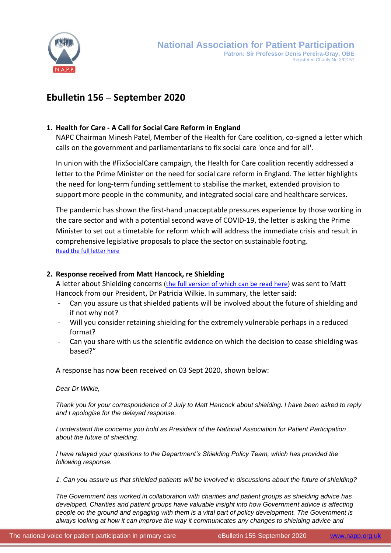

# **Ebulletin 156 – September 2020**

# **1. Health for Care - A Call for Social Care Reform in England**

NAPC Chairman Minesh Patel, Member of the Health for Care coalition, co-signed a letter which calls on the government and parliamentarians to fix social care 'once and for all'.

In union with the #FixSocialCare campaign, the Health for Care coalition recently addressed a letter to the Prime Minister on the need for social care reform in England. The letter highlights the need for long-term funding settlement to stabilise the market, extended provision to support more people in the community, and integrated social care and healthcare services.

The pandemic has shown the first-hand unacceptable pressures experience by those working in the care sector and with a potential second wave of COVID-19, the letter is asking the Prime Minister to set out a timetable for reform which will address the immediate crisis and result in comprehensive legislative proposals to place the sector on sustainable footing. [Read the full letter here](https://www.nhsconfed.org/-/media/Confederation/Files/Public-Affairs/Health-for-Care-letter-to-the-Prime-Minister-on-FixSocialCare.pdf)

# **2. Response received from Matt Hancock, re Shielding**

A letter about Shielding concerns [\(the full version of which can be read here\)](https://www.napp.org.uk/membersonly/PAWtoMattHancock_2July2020.pdf) was sent to Matt Hancock from our President, Dr Patricia Wilkie. In summary, the letter said:

- Can you assure us that shielded patients will be involved about the future of shielding and if not why not?
- Will you consider retaining shielding for the extremely vulnerable perhaps in a reduced format?
- Can you share with us the scientific evidence on which the decision to cease shielding was based?"

A response has now been received on 03 Sept 2020, shown below:

## *Dear Dr Wilkie,*

*Thank you for your correspondence of 2 July to Matt Hancock about shielding. I have been asked to reply and I apologise for the delayed response.* 

*I understand the concerns you hold as President of the National Association for Patient Participation about the future of shielding.*

*I have relayed your questions to the Department's Shielding Policy Team, which has provided the following response.* 

*1. Can you assure us that shielded patients will be involved in discussions about the future of shielding?* 

*The Government has worked in collaboration with charities and patient groups as shielding advice has*  developed. Charities and patient groups have valuable insight into how Government advice is affecting *people on the ground and engaging with them is a vital part of policy development. The Government is always looking at how it can improve the way it communicates any changes to shielding advice and*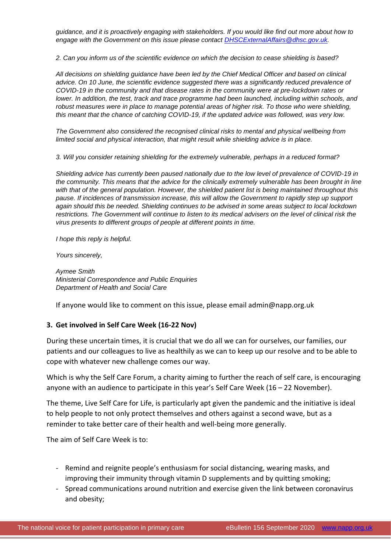*guidance, and it is proactively engaging with stakeholders. If you would like find out more about how to engage with the Government on this issue please contact [DHSCExternalAffairs@dhsc.gov.uk.](mailto:DHSCExternalAffairs@dhsc.gov.uk)* 

*2. Can you inform us of the scientific evidence on which the decision to cease shielding is based?*

*All decisions on shielding guidance have been led by the Chief Medical Officer and based on clinical*  advice. On 10 June, the scientific evidence suggested there was a significantly reduced prevalence of *COVID-19 in the community and that disease rates in the community were at pre-lockdown rates or lower. In addition, the test, track and trace programme had been launched, including within schools, and robust measures were in place to manage potential areas of higher risk. To those who were shielding, this meant that the chance of catching COVID-19, if the updated advice was followed, was very low.* 

*The Government also considered the recognised clinical risks to mental and physical wellbeing from limited social and physical interaction, that might result while shielding advice is in place.*

*3. Will you consider retaining shielding for the extremely vulnerable, perhaps in a reduced format?*

*Shielding advice has currently been paused nationally due to the low level of prevalence of COVID-19 in the community. This means that the advice for the clinically extremely vulnerable has been brought in line with that of the general population. However, the shielded patient list is being maintained throughout this pause. If incidences of transmission increase, this will allow the Government to rapidly step up support again should this be needed. Shielding continues to be advised in some areas subject to local lockdown restrictions. The Government will continue to listen to its medical advisers on the level of clinical risk the virus presents to different groups of people at different points in time.*

*I hope this reply is helpful.* 

*Yours sincerely,* 

*Aymee Smith Ministerial Correspondence and Public Enquiries Department of Health and Social Care*

If anyone would like to comment on this issue, please email admin@napp.org.uk

### **3. Get involved in Self Care Week (16-22 Nov)**

During these uncertain times, it is crucial that we do all we can for ourselves, our families, our patients and our colleagues to live as healthily as we can to keep up our resolve and to be able to cope with whatever new challenge comes our way.

Which is why the [Self Care Forum,](http://r20.rs6.net/tn.jsp?f=001Xki8KLIUIPu5nWyHYVrAu31AnRhLNbwxI7U0P46Mjn_iRTxOaoAFydquIK4s3o7fOARIBD2899T7rcf1inA75uw7FRiN2WVJe6AGWY9SV57lVMj7RlBJ5yYSSEvC6ZP2r3mXSNOkJF3pXQwNdHrF4A==&c=decB47pU-Kniqf7ATSuYihVixo10YCn2JWD2S32kLlazWmFzfx7FWg==&ch=y6Ig3AFXJBtkVW53Gd6uc1psp3s8OcvKT2dyVEZlhEu-JLejqKP16w==) a charity aiming to further the reach of self care, is encouraging anyone with an audience to participate in this year's Self Care Week  $(16 - 22$  November).

The theme, Live Self Care for Life, is particularly apt given the pandemic and the initiative is ideal to help people to not only protect themselves and others against a second wave, but as a reminder to take better care of their health and well-being more generally.

The aim of Self Care Week is to:

- Remind and reignite people's enthusiasm for social distancing, wearing masks, and improving their immunity through vitamin D supplements and by quitting smoking;
- Spread communications around nutrition and exercise given the link between coronavirus and obesity;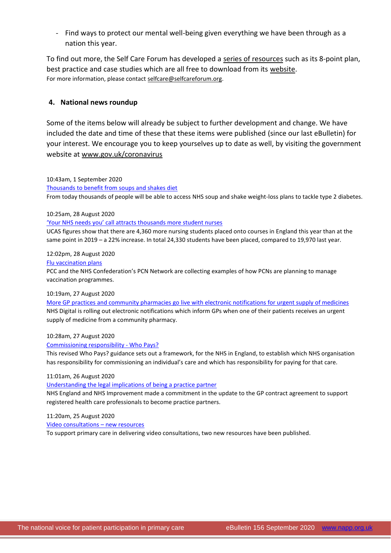- Find ways to protect our mental well-being given everything we have been through as a nation this year.

To find out more, the Self Care Forum has developed a [series of resources](http://r20.rs6.net/tn.jsp?f=001Xki8KLIUIPu5nWyHYVrAu31AnRhLNbwxI7U0P46Mjn_iRTxOaoAFyT4KBOAOasXVzKQ1aQItLTTOCJ8yn7LacCxJ3CIgkGeAxB2AOFHfPYl9kI8Wm6DWaEIUYC8Ukff40S2MCGaK_RJRXpLEjiUsCgGVKpCyLG7lUOudVuGRa6Z3bNLaGtXa8wbDZfB217ZLsfBDN3z6ZG0=&c=decB47pU-Kniqf7ATSuYihVixo10YCn2JWD2S32kLlazWmFzfx7FWg==&ch=y6Ig3AFXJBtkVW53Gd6uc1psp3s8OcvKT2dyVEZlhEu-JLejqKP16w==) such as its 8-point plan, best practice and case studies which are all free to download from its [website.](http://r20.rs6.net/tn.jsp?f=001Xki8KLIUIPu5nWyHYVrAu31AnRhLNbwxI7U0P46Mjn_iRTxOaoAFydquIK4s3o7fOARIBD2899T7rcf1inA75uw7FRiN2WVJe6AGWY9SV57lVMj7RlBJ5yYSSEvC6ZP2r3mXSNOkJF3pXQwNdHrF4A==&c=decB47pU-Kniqf7ATSuYihVixo10YCn2JWD2S32kLlazWmFzfx7FWg==&ch=y6Ig3AFXJBtkVW53Gd6uc1psp3s8OcvKT2dyVEZlhEu-JLejqKP16w==) For more information, please contact [selfcare@selfcareforum.org.](mailto:selfcare@selfcareforum.org)

### **4. National news roundup**

Some of the items below will already be subject to further development and change. We have included the date and time of these that these items were published (since our last eBulletin) for your interest. We encourage you to keep yourselves up to date as well, by visiting the government website at [www.gov.uk/coronavirus](http://www.gov.uk/coronavirus)

#### 10:43am, 1 September 2020

[Thousands to benefit from soups and shakes diet](http://www.networks.nhs.uk/networks/news/thousands-to-benefit-from-soups-and-shakes-diet) 

From today thousands of people will be able to access NHS soup and shake weight-loss plans to tackle type 2 diabetes.

#### 10:25am, 28 August 2020

#### ['Your NHS needs you' call attracts tho](http://www.networks.nhs.uk/networks/news/2018your-nhs-needs-you2019-call-attracts-thousands-more-student-nurses)usands more student nurses

UCAS figures show that there are 4,360 more nursing students placed onto courses in England this year than at the same point in 2019 – a 22% increase. In total 24,330 students have been placed, compared to 19,970 last year.

#### 12:02pm, 28 August 2020

#### [Flu vaccination plans](http://www.networks.nhs.uk/networks/news/flu-vaccination-plans)

PCC and the NHS Confederation's PCN Network are collecting examples of how PCNs are planning to manage vaccination programmes.

#### 10:19am, 27 August 2020

[More GP practices and community pharmacies go live with electronic notifications for urgent supply of medicines](http://www.networks.nhs.uk/networks/news/more-gp-practices-and-community-pharmacies-go-live-with-electronic-notifications-for-urgent-supply-of-medicines) NHS Digital is rolling out electronic notifications which inform GPs when one of their patients receives an urgent supply of medicine from a community pharmacy.

#### 10:28am, 27 August 2020

#### [Commissioning responsibility -](http://www.networks.nhs.uk/networks/news/commissioning-responsibility-who-pays) Who Pays?

This revised Who Pays? guidance sets out a framework, for the NHS in England, to establish which NHS organisation has responsibility for commissioning an individual's care and which has responsibility for paying for that care.

#### 11:01am, 26 August 2020

[Understanding the legal implications of being a practice partner](http://www.networks.nhs.uk/networks/news/understanding-the-legal-implications-of-being-a-practice-partner)

NHS England and NHS Improvement made a commitment in the update to the GP contract agreement to support registered health care professionals to become practice partners.

#### 11:20am, 25 August 2020

#### [Video consultations](http://www.networks.nhs.uk/networks/news/video-consultations-2013-new-resources) – new resources

To support primary care in delivering video consultations, two new resources have been published.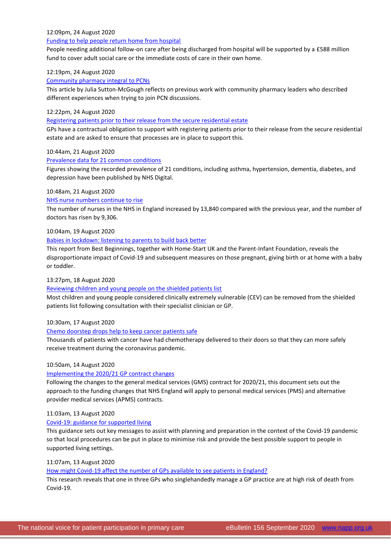#### 12:09pm, 24 August 2020

#### [Funding to help people return home from hospital](http://www.networks.nhs.uk/networks/news/funding-to-help-people-return-home-from-hospital)

People needing additional follow-on care after being discharged from hospital will be supported by a £588 million fund to cover adult social care or the immediate costs of care in their own home.

#### 12:19pm, 24 August 2020

#### [Community pharmacy integral to PCNs](http://www.networks.nhs.uk/networks/news/community-pharmacy-integral-to-pcns-1)

This article by Julia Sutton-McGough reflects on previous work with community pharmacy leaders who described different experiences when trying to join PCN discussions.

#### 12:22pm, 24 August 2020

[Registering patients prior to their release from the secure residential estate](http://www.networks.nhs.uk/networks/news/registering-patients-prior-to-their-release-from-the-secure-residential-estate) 

GPs have a contractual obligation to support with registering patients prior to their release from the secure residential estate and are asked to ensure that processes are in place to support this.

#### 10:44am, 21 August 2020

#### [Prevalence data for 21 common conditions](http://www.networks.nhs.uk/networks/news/prevalence-data-for-21-common-conditions)

Figures showing the recorded prevalence of 21 conditions, including asthma, hypertension, dementia, diabetes, and depression have been published by NHS Digital.

#### 10:48am, 21 August 2020

#### NHS nurse [numbers continue to rise](http://www.networks.nhs.uk/networks/news/nhs-nurse-numbers-continue-to-rise)

The number of nurses in the NHS in England increased by 13,840 compared with the previous year, and the number of doctors has risen by 9,306.

#### 10:04am, 19 August 2020

### [Babies in lockdown: listening to parents to build back better](http://www.networks.nhs.uk/networks/news/babies-in-lockdown-listening-to-parents-to-build-back-better)

This report from Best Beginnings, together with Home-Start UK and the Parent-Infant Foundation, reveals the disproportionate impact of Covid-19 and subsequent measures on those pregnant, giving birth or at home with a baby or toddler.

#### 13:27pm, 18 August 2020

#### [Reviewing children and young people on the shielded patients list](http://www.networks.nhs.uk/networks/news/reviewing-children-and-young-people-on-the-shielded-patients-list)

Most children and young people considered clinically extremely vulnerable (CEV) can be removed from the shielded patients list following consultation with their specialist clinician or GP.

#### 10:30am, 17 August 2020

#### [Chemo doorstep drops help to keep cancer patients safe](http://www.networks.nhs.uk/networks/news/chemo-doorstep-drops-help-to-keep-cancer-patients-safe)

Thousands of patients with cancer have had chemotherapy delivered to their doors so that they can more safely receive treatment during the coronavirus pandemic.

#### 10:50am, 14 August 2020

#### Implementing the [2020/21 GP contract changes](http://www.networks.nhs.uk/networks/news/implementing-the-2020-21-gp-contract-changes)

Following the changes to the general medical services (GMS) contract for 2020/21, this document sets out the approach to the funding changes that NHS England will apply to personal medical services (PMS) and alternative provider medical services (APMS) contracts.

#### 11:03am, 13 August 2020

#### [Covid-19: guidance for supported living](http://www.networks.nhs.uk/networks/news/covid-19-guidance-for-supported-living)

This guidance sets out key messages to assist with planning and preparation in the context of the Covid-19 pandemic so that local procedures can be put in place to minimise risk and provide the best possible support to people in supported living settings.

#### 11:07am, 13 August 2020

#### [How might Covid-19 affect the number of GPs available to see patients in England?](http://www.networks.nhs.uk/networks/news/how-might-covid-19-affect-the-number-of-gps-available-to-see-patients-in-england)

This research reveals that one in three GPs who singlehandedly manage a GP practice are at high risk of death from Covid-19.